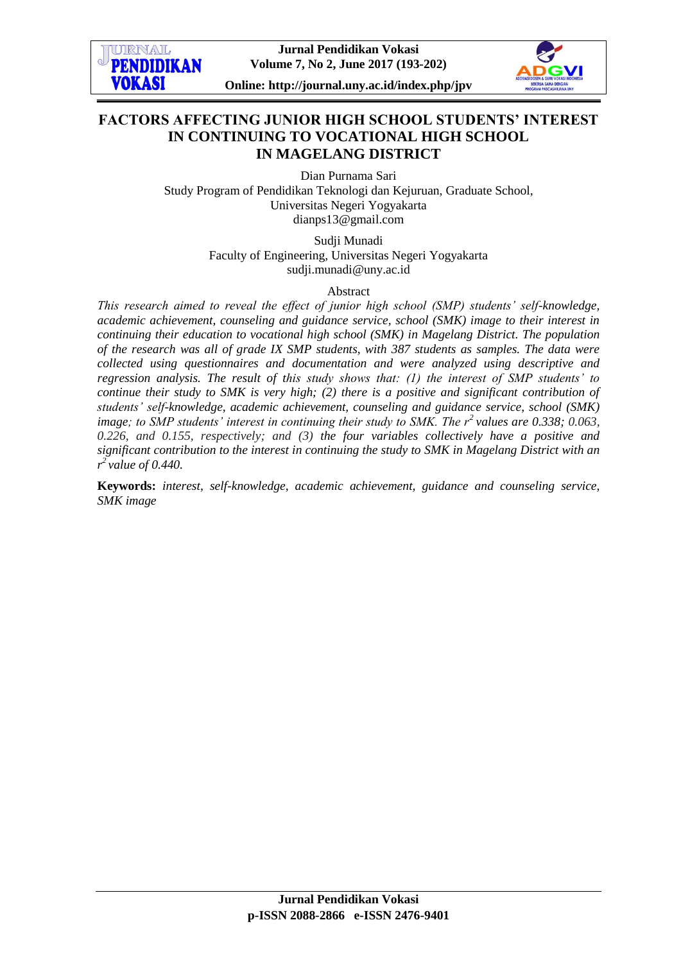

# **FACTORS AFFECTING JUNIOR HIGH SCHOOL STUDENTS' INTEREST IN CONTINUING TO VOCATIONAL HIGH SCHOOL IN MAGELANG DISTRICT**

Dian Purnama Sari Study Program of Pendidikan Teknologi dan Kejuruan, Graduate School, Universitas Negeri Yogyakarta [dianps13@gmail.com](mailto:dianps13@gmail.com)

> Sudji Munadi Faculty of Engineering, Universitas Negeri Yogyakarta [sudji.munadi@uny.ac.id](mailto:sudji.munadi@uny.ac.id)

> > Abstract

*This research aimed to reveal the effect of junior high school (SMP) students' self-knowledge, academic achievement, counseling and guidance service, school (SMK) image to their interest in continuing their education to vocational high school (SMK) in Magelang District. The population of the research was all of grade IX SMP students, with 387 students as samples. The data were collected using questionnaires and documentation and were analyzed using descriptive and regression analysis. The result of this study shows that: (1) the interest of SMP students' to continue their study to SMK is very high; (2) there is a positive and significant contribution of students' self-knowledge, academic achievement, counseling and guidance service, school (SMK) image; to SMP students' interest in continuing their study to SMK. The r<sup>2</sup>values are 0.338; 0.063, 0.226, and 0.155, respectively; and (3) the four variables collectively have a positive and significant contribution to the interest in continuing the study to SMK in Magelang District with an r <sup>2</sup>value of 0.440.*

**Keywords:** *interest, self-knowledge, academic achievement, guidance and counseling service, SMK image*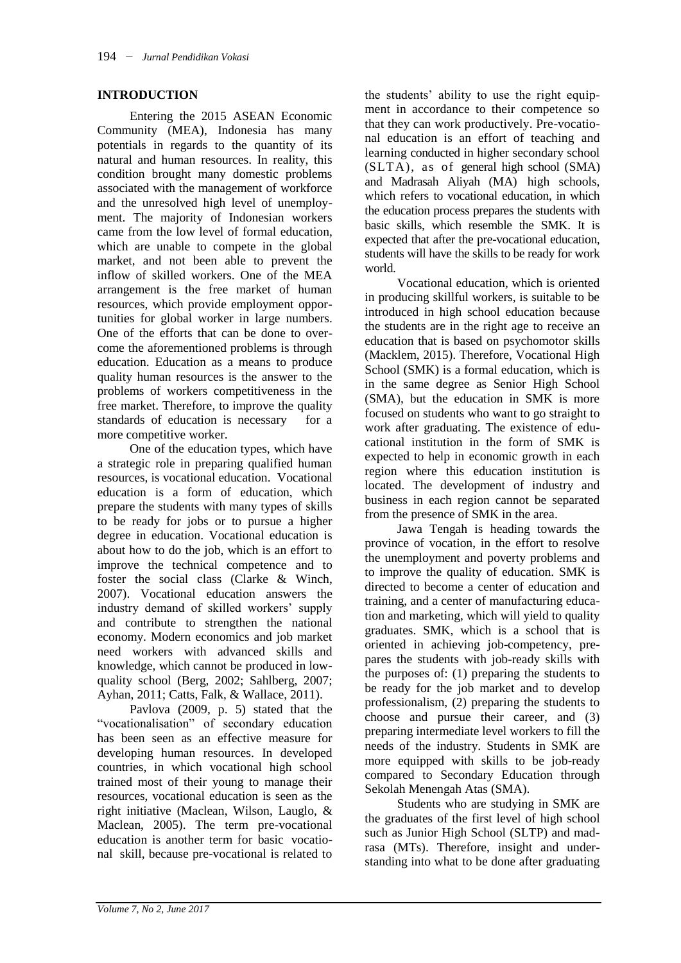## **INTRODUCTION**

Entering the 2015 ASEAN Economic Community (MEA), Indonesia has many potentials in regards to the quantity of its natural and human resources. In reality, this condition brought many domestic problems associated with the management of workforce and the unresolved high level of unemployment. The majority of Indonesian workers came from the low level of formal education, which are unable to compete in the global market, and not been able to prevent the inflow of skilled workers. One of the MEA arrangement is the free market of human resources, which provide employment opportunities for global worker in large numbers. One of the efforts that can be done to overcome the aforementioned problems is through education. Education as a means to produce quality human resources is the answer to the problems of workers competitiveness in the free market. Therefore, to improve the quality standards of education is necessary for a more competitive worker.

One of the education types, which have a strategic role in preparing qualified human resources, is vocational education. Vocational education is a form of education, which prepare the students with many types of skills to be ready for jobs or to pursue a higher degree in education. Vocational education is about how to do the job, which is an effort to improve the technical competence and to foster the social class (Clarke & Winch, 2007). Vocational education answers the industry demand of skilled workers' supply and contribute to strengthen the national economy. Modern economics and job market need workers with advanced skills and knowledge, which cannot be produced in lowquality school (Berg, 2002; Sahlberg, 2007; Ayhan, 2011; Catts, Falk, & Wallace, 2011).

Pavlova (2009, p. 5) stated that the "vocationalisation" of secondary education has been seen as an effective measure for developing human resources. In developed countries, in which vocational high school trained most of their young to manage their resources, vocational education is seen as the right initiative (Maclean, Wilson, Lauglo, & Maclean, 2005). The term pre-vocational education is another term for basic vocational skill, because pre-vocational is related to

the students' ability to use the right equipment in accordance to their competence so that they can work productively. Pre-vocational education is an effort of teaching and learning conducted in higher secondary school (SLTA), as of general high school (SMA) and Madrasah Aliyah (MA) high schools, which refers to vocational education, in which the education process prepares the students with basic skills, which resemble the SMK. It is expected that after the pre-vocational education, students will have the skills to be ready for work world.

Vocational education, which is oriented in producing skillful workers, is suitable to be introduced in high school education because the students are in the right age to receive an education that is based on psychomotor skills (Macklem, 2015). Therefore, Vocational High School (SMK) is a formal education, which is in the same degree as Senior High School (SMA), but the education in SMK is more focused on students who want to go straight to work after graduating. The existence of educational institution in the form of SMK is expected to help in economic growth in each region where this education institution is located. The development of industry and business in each region cannot be separated from the presence of SMK in the area.

Jawa Tengah is heading towards the province of vocation, in the effort to resolve the unemployment and poverty problems and to improve the quality of education. SMK is directed to become a center of education and training, and a center of manufacturing education and marketing, which will yield to quality graduates. SMK, which is a school that is oriented in achieving job-competency, prepares the students with job-ready skills with the purposes of: (1) preparing the students to be ready for the job market and to develop professionalism, (2) preparing the students to choose and pursue their career, and (3) preparing intermediate level workers to fill the needs of the industry. Students in SMK are more equipped with skills to be job-ready compared to Secondary Education through Sekolah Menengah Atas (SMA).

Students who are studying in SMK are the graduates of the first level of high school such as Junior High School (SLTP) and madrasa (MTs). Therefore, insight and understanding into what to be done after graduating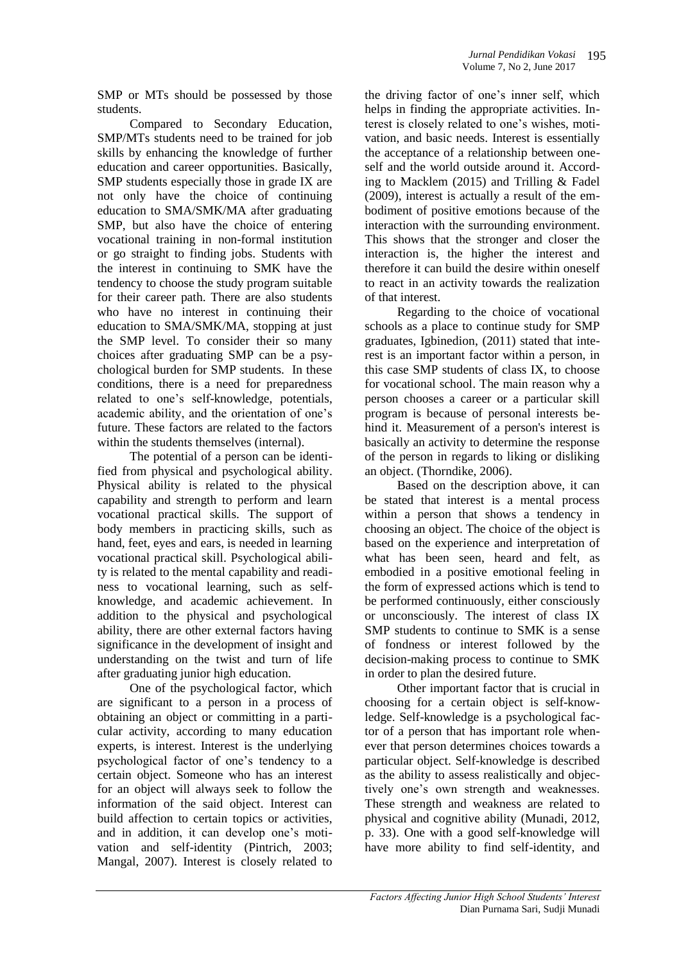SMP or MTs should be possessed by those students.

Compared to Secondary Education, SMP/MTs students need to be trained for job skills by enhancing the knowledge of further education and career opportunities. Basically, SMP students especially those in grade IX are not only have the choice of continuing education to SMA/SMK/MA after graduating SMP, but also have the choice of entering vocational training in non-formal institution or go straight to finding jobs. Students with the interest in continuing to SMK have the tendency to choose the study program suitable for their career path. There are also students who have no interest in continuing their education to SMA/SMK/MA, stopping at just the SMP level. To consider their so many choices after graduating SMP can be a psychological burden for SMP students. In these conditions, there is a need for preparedness related to one's self-knowledge, potentials, academic ability, and the orientation of one's future. These factors are related to the factors within the students themselves (internal).

The potential of a person can be identified from physical and psychological ability. Physical ability is related to the physical capability and strength to perform and learn vocational practical skills. The support of body members in practicing skills, such as hand, feet, eyes and ears, is needed in learning vocational practical skill. Psychological ability is related to the mental capability and readiness to vocational learning, such as selfknowledge, and academic achievement. In addition to the physical and psychological ability, there are other external factors having significance in the development of insight and understanding on the twist and turn of life after graduating junior high education.

One of the psychological factor, which are significant to a person in a process of obtaining an object or committing in a particular activity, according to many education experts, is interest. Interest is the underlying psychological factor of one's tendency to a certain object. Someone who has an interest for an object will always seek to follow the information of the said object. Interest can build affection to certain topics or activities, and in addition, it can develop one's motivation and self-identity (Pintrich, 2003; Mangal, 2007). Interest is closely related to

the driving factor of one's inner self, which helps in finding the appropriate activities. Interest is closely related to one's wishes, motivation, and basic needs. Interest is essentially the acceptance of a relationship between oneself and the world outside around it. According to Macklem (2015) and Trilling & Fadel (2009), interest is actually a result of the embodiment of positive emotions because of the interaction with the surrounding environment. This shows that the stronger and closer the interaction is, the higher the interest and therefore it can build the desire within oneself to react in an activity towards the realization of that interest.

Regarding to the choice of vocational schools as a place to continue study for SMP graduates, Igbinedion, (2011) stated that interest is an important factor within a person, in this case SMP students of class IX, to choose for vocational school. The main reason why a person chooses a career or a particular skill program is because of personal interests behind it. Measurement of a person's interest is basically an activity to determine the response of the person in regards to liking or disliking an object. (Thorndike, 2006).

Based on the description above, it can be stated that interest is a mental process within a person that shows a tendency in choosing an object. The choice of the object is based on the experience and interpretation of what has been seen, heard and felt, as embodied in a positive emotional feeling in the form of expressed actions which is tend to be performed continuously, either consciously or unconsciously. The interest of class IX SMP students to continue to SMK is a sense of fondness or interest followed by the decision-making process to continue to SMK in order to plan the desired future.

Other important factor that is crucial in choosing for a certain object is self-knowledge. Self-knowledge is a psychological factor of a person that has important role whenever that person determines choices towards a particular object. Self-knowledge is described as the ability to assess realistically and objectively one's own strength and weaknesses. These strength and weakness are related to physical and cognitive ability (Munadi, 2012, p. 33). One with a good self-knowledge will have more ability to find self-identity, and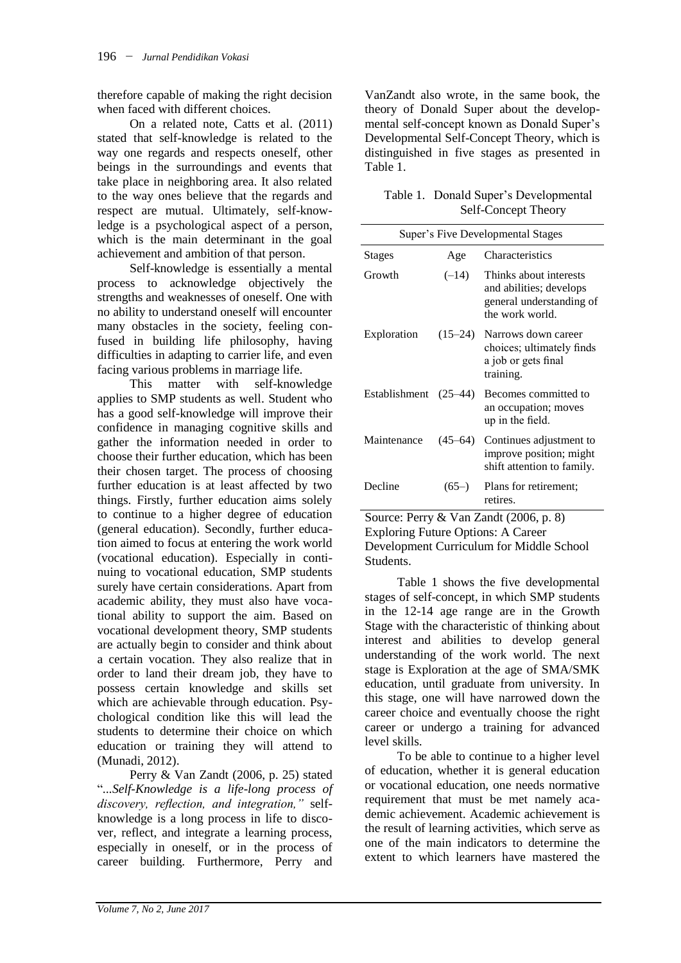therefore capable of making the right decision when faced with different choices.

On a related note, Catts et al. (2011) stated that self-knowledge is related to the way one regards and respects oneself, other beings in the surroundings and events that take place in neighboring area. It also related to the way ones believe that the regards and respect are mutual. Ultimately, self-knowledge is a psychological aspect of a person, which is the main determinant in the goal achievement and ambition of that person.

Self-knowledge is essentially a mental process to acknowledge objectively the strengths and weaknesses of oneself. One with no ability to understand oneself will encounter many obstacles in the society, feeling confused in building life philosophy, having difficulties in adapting to carrier life, and even facing various problems in marriage life.

This matter with self-knowledge applies to SMP students as well. Student who has a good self-knowledge will improve their confidence in managing cognitive skills and gather the information needed in order to choose their further education, which has been their chosen target. The process of choosing further education is at least affected by two things. Firstly, further education aims solely to continue to a higher degree of education (general education). Secondly, further education aimed to focus at entering the work world (vocational education). Especially in continuing to vocational education, SMP students surely have certain considerations. Apart from academic ability, they must also have vocational ability to support the aim. Based on vocational development theory, SMP students are actually begin to consider and think about a certain vocation. They also realize that in order to land their dream job, they have to possess certain knowledge and skills set which are achievable through education. Psychological condition like this will lead the students to determine their choice on which education or training they will attend to (Munadi, 2012).

Perry & Van Zandt (2006, p. 25) stated "*...Self-Knowledge is a life-long process of discovery, reflection, and integration,"* selfknowledge is a long process in life to discover, reflect, and integrate a learning process, especially in oneself, or in the process of career building. Furthermore, Perry and

VanZandt also wrote, in the same book, the theory of Donald Super about the developmental self-concept known as Donald Super's Developmental Self-Concept Theory, which is distinguished in five stages as presented in Table 1.

| Table 1. Donald Super's Developmental |
|---------------------------------------|
| <b>Self-Concept Theory</b>            |

| <b>Super's Five Developmental Stages</b> |             |                                                                                                  |  |  |  |
|------------------------------------------|-------------|--------------------------------------------------------------------------------------------------|--|--|--|
| <b>Stages</b>                            | Age         | Characteristics                                                                                  |  |  |  |
| Growth                                   | $(-14)$     | Thinks about interests<br>and abilities; develops<br>general understanding of<br>the work world. |  |  |  |
| Exploration                              | $(15 - 24)$ | Narrows down career<br>choices; ultimately finds<br>a job or gets final<br>training.             |  |  |  |
| Establishment                            | $(25-44)$   | Becomes committed to<br>an occupation; moves<br>up in the field.                                 |  |  |  |
| Maintenance                              | $(45-64)$   | Continues adjustment to<br>improve position; might<br>shift attention to family.                 |  |  |  |
| Decline                                  | $(65-)$     | Plans for retirement;<br>retires.                                                                |  |  |  |

Source: Perry & Van Zandt (2006, p. 8) Exploring Future Options: A Career Development Curriculum for Middle School Students.

Table 1 shows the five developmental stages of self-concept, in which SMP students in the 12-14 age range are in the Growth Stage with the characteristic of thinking about interest and abilities to develop general understanding of the work world. The next stage is Exploration at the age of SMA/SMK education, until graduate from university. In this stage, one will have narrowed down the career choice and eventually choose the right career or undergo a training for advanced level skills.

To be able to continue to a higher level of education, whether it is general education or vocational education, one needs normative requirement that must be met namely academic achievement. Academic achievement is the result of learning activities, which serve as one of the main indicators to determine the extent to which learners have mastered the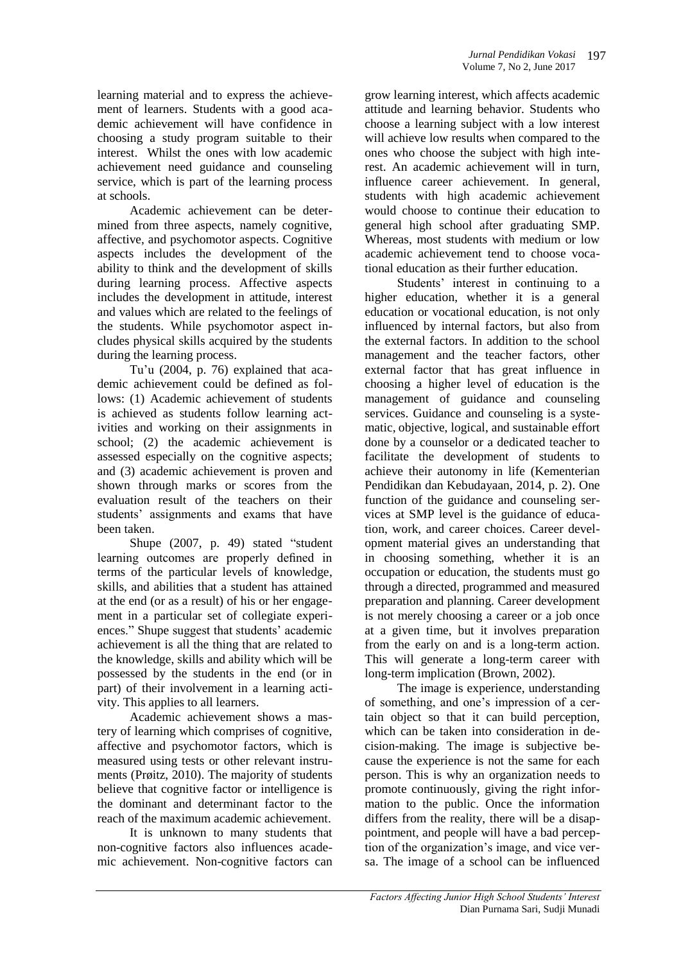learning material and to express the achievement of learners. Students with a good academic achievement will have confidence in choosing a study program suitable to their interest. Whilst the ones with low academic achievement need guidance and counseling service, which is part of the learning process at schools.

Academic achievement can be determined from three aspects, namely cognitive, affective, and psychomotor aspects. Cognitive aspects includes the development of the ability to think and the development of skills during learning process. Affective aspects includes the development in attitude, interest and values which are related to the feelings of the students. While psychomotor aspect includes physical skills acquired by the students during the learning process.

Tu'u (2004, p. 76) explained that academic achievement could be defined as follows: (1) Academic achievement of students is achieved as students follow learning activities and working on their assignments in school; (2) the academic achievement is assessed especially on the cognitive aspects; and (3) academic achievement is proven and shown through marks or scores from the evaluation result of the teachers on their students' assignments and exams that have been taken.

Shupe (2007, p. 49) stated "student learning outcomes are properly defined in terms of the particular levels of knowledge, skills, and abilities that a student has attained at the end (or as a result) of his or her engagement in a particular set of collegiate experiences." Shupe suggest that students' academic achievement is all the thing that are related to the knowledge, skills and ability which will be possessed by the students in the end (or in part) of their involvement in a learning activity. This applies to all learners.

Academic achievement shows a mastery of learning which comprises of cognitive, affective and psychomotor factors, which is measured using tests or other relevant instruments (Prøitz, 2010). The majority of students believe that cognitive factor or intelligence is the dominant and determinant factor to the reach of the maximum academic achievement.

It is unknown to many students that non-cognitive factors also influences academic achievement. Non-cognitive factors can

grow learning interest, which affects academic attitude and learning behavior. Students who choose a learning subject with a low interest will achieve low results when compared to the ones who choose the subject with high interest. An academic achievement will in turn, influence career achievement. In general, students with high academic achievement would choose to continue their education to general high school after graduating SMP. Whereas, most students with medium or low academic achievement tend to choose vocational education as their further education.

Students' interest in continuing to a higher education, whether it is a general education or vocational education, is not only influenced by internal factors, but also from the external factors. In addition to the school management and the teacher factors, other external factor that has great influence in choosing a higher level of education is the management of guidance and counseling services. Guidance and counseling is a systematic, objective, logical, and sustainable effort done by a counselor or a dedicated teacher to facilitate the development of students to achieve their autonomy in life (Kementerian Pendidikan dan Kebudayaan, 2014, p. 2). One function of the guidance and counseling services at SMP level is the guidance of education, work, and career choices. Career development material gives an understanding that in choosing something, whether it is an occupation or education, the students must go through a directed, programmed and measured preparation and planning. Career development is not merely choosing a career or a job once at a given time, but it involves preparation from the early on and is a long-term action. This will generate a long-term career with long-term implication (Brown, 2002).

The image is experience, understanding of something, and one's impression of a certain object so that it can build perception, which can be taken into consideration in decision-making. The image is subjective because the experience is not the same for each person. This is why an organization needs to promote continuously, giving the right information to the public. Once the information differs from the reality, there will be a disappointment, and people will have a bad perception of the organization's image, and vice versa. The image of a school can be influenced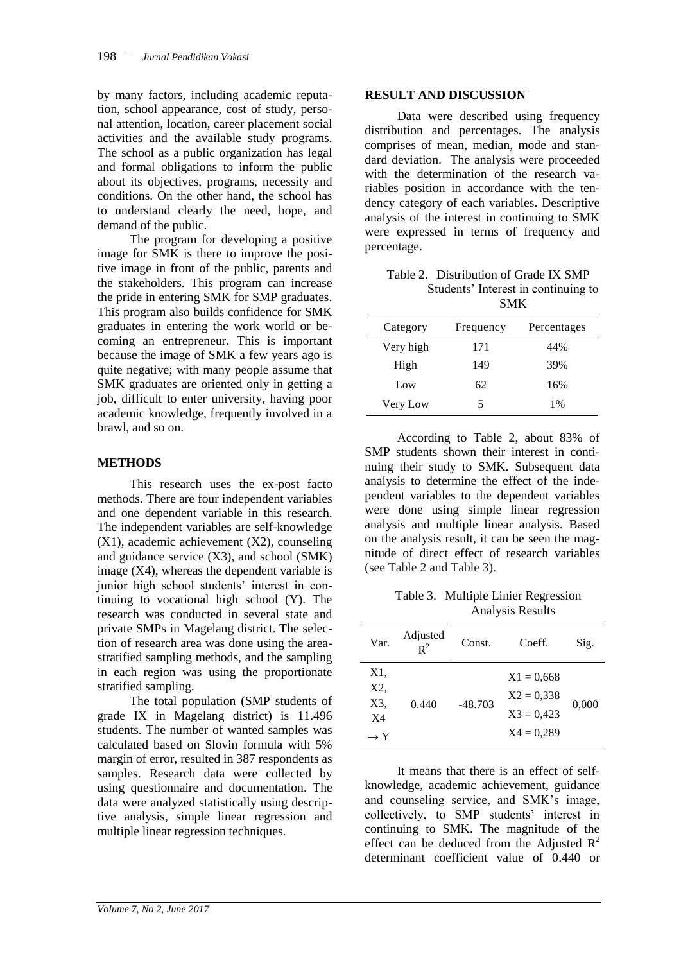by many factors, including academic reputation, school appearance, cost of study, personal attention, location, career placement social activities and the available study programs. The school as a public organization has legal and formal obligations to inform the public about its objectives, programs, necessity and conditions. On the other hand, the school has to understand clearly the need, hope, and demand of the public.

The program for developing a positive image for SMK is there to improve the positive image in front of the public, parents and the stakeholders. This program can increase the pride in entering SMK for SMP graduates. This program also builds confidence for SMK graduates in entering the work world or becoming an entrepreneur. This is important because the image of SMK a few years ago is quite negative; with many people assume that SMK graduates are oriented only in getting a job, difficult to enter university, having poor academic knowledge, frequently involved in a brawl, and so on.

### **METHODS**

This research uses the ex-post facto methods. There are four independent variables and one dependent variable in this research. The independent variables are self-knowledge (X1), academic achievement (X2), counseling and guidance service (X3), and school (SMK) image (X4), whereas the dependent variable is junior high school students' interest in continuing to vocational high school (Y). The research was conducted in several state and private SMPs in Magelang district. The selection of research area was done using the areastratified sampling methods, and the sampling in each region was using the proportionate stratified sampling.

The total population (SMP students of grade IX in Magelang district) is 11.496 students. The number of wanted samples was calculated based on Slovin formula with 5% margin of error, resulted in 387 respondents as samples. Research data were collected by using questionnaire and documentation. The data were analyzed statistically using descriptive analysis, simple linear regression and multiple linear regression techniques.

#### **RESULT AND DISCUSSION**

Data were described using frequency distribution and percentages. The analysis comprises of mean, median, mode and standard deviation. The analysis were proceeded with the determination of the research variables position in accordance with the tendency category of each variables. Descriptive analysis of the interest in continuing to SMK were expressed in terms of frequency and percentage.

Table 2. Distribution of Grade IX SMP Students' Interest in continuing to SMK

| Category  | Frequency | Percentages |
|-----------|-----------|-------------|
| Very high | 171       | 44%         |
| High      | 149       | 39%         |
| Low       | 62        | 16%         |
| Very Low  | 5         | 1%          |

According to Table 2, about 83% of SMP students shown their interest in continuing their study to SMK. Subsequent data analysis to determine the effect of the independent variables to the dependent variables were done using simple linear regression analysis and multiple linear analysis. Based on the analysis result, it can be seen the magnitude of direct effect of research variables (see Table 2 and Table 3).

Table 3. Multiple Linier Regression Analysis Results

| Var.                                       | Adjusted<br>$R^2$ | Const.    | Coeff.                                                       | Sig.  |
|--------------------------------------------|-------------------|-----------|--------------------------------------------------------------|-------|
| X1.<br>X2,<br>X3.<br>X4<br>$\rightarrow Y$ | 0.440             | $-48.703$ | $X1 = 0.668$<br>$X2 = 0.338$<br>$X3 = 0,423$<br>$X4 = 0,289$ | 0,000 |

It means that there is an effect of selfknowledge, academic achievement, guidance and counseling service, and SMK's image, collectively, to SMP students' interest in continuing to SMK. The magnitude of the effect can be deduced from the Adjusted  $R^2$ determinant coefficient value of 0.440 or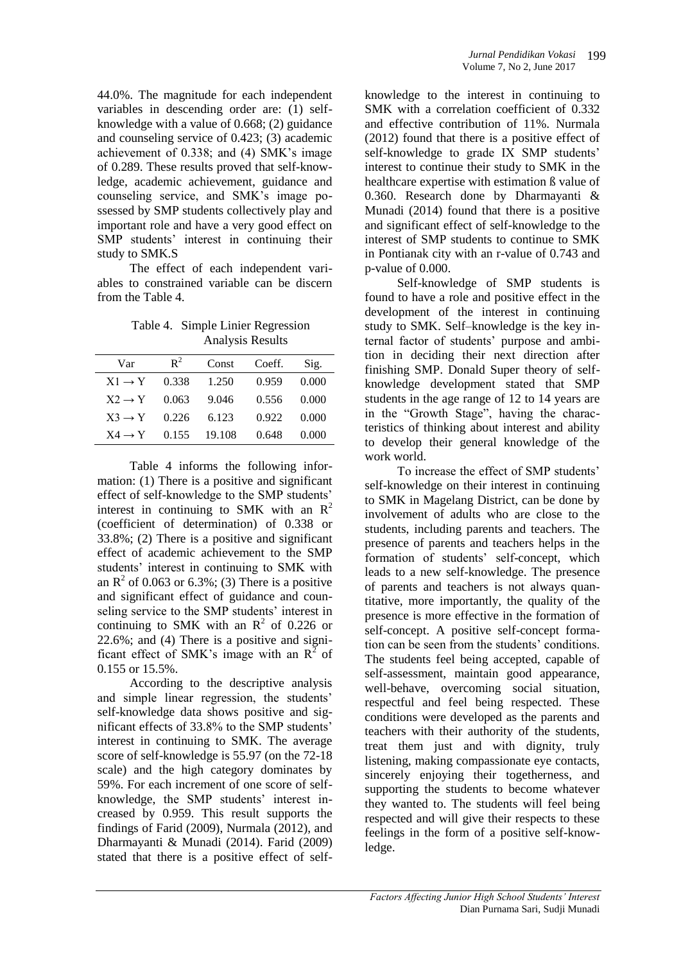44.0%. The magnitude for each independent variables in descending order are: (1) selfknowledge with a value of 0.668; (2) guidance and counseling service of 0.423; (3) academic achievement of 0.338; and (4) SMK's image of 0.289. These results proved that self-knowledge, academic achievement, guidance and counseling service, and SMK's image possessed by SMP students collectively play and important role and have a very good effect on SMP students' interest in continuing their study to SMK.S

The effect of each independent variables to constrained variable can be discern from the Table 4.

Table 4. Simple Linier Regression Analysis Results

| Var                | $\mathbf{R}^2$ | Const        | Coeff. | Sig.  |
|--------------------|----------------|--------------|--------|-------|
| $X1 \rightarrow Y$ | 0.338          | 1.250        | 0.959  | 0.000 |
| $X2 \rightarrow Y$ | 0.063          | 9.046        | 0.556  | 0.000 |
| $X3 \rightarrow Y$ | 0.226          | 6.123        | 0.922  | 0.000 |
| $X4 \rightarrow Y$ |                | 0.155 19.108 | 0.648  | 0.000 |

Table 4 informs the following information: (1) There is a positive and significant effect of self-knowledge to the SMP students' interest in continuing to SMK with an  $\mathbb{R}^2$ (coefficient of determination) of 0.338 or 33.8%; (2) There is a positive and significant effect of academic achievement to the SMP students' interest in continuing to SMK with an  $R^2$  of 0.063 or 6.3%; (3) There is a positive and significant effect of guidance and counseling service to the SMP students' interest in continuing to SMK with an  $R^2$  of 0.226 or 22.6%; and (4) There is a positive and significant effect of SMK's image with an  $R^2$  of 0.155 or 15.5%.

According to the descriptive analysis and simple linear regression, the students' self-knowledge data shows positive and significant effects of 33.8% to the SMP students' interest in continuing to SMK. The average score of self-knowledge is 55.97 (on the 72-18 scale) and the high category dominates by 59%. For each increment of one score of selfknowledge, the SMP students' interest increased by 0.959. This result supports the findings of Farid (2009), Nurmala (2012), and Dharmayanti & Munadi (2014). Farid (2009) stated that there is a positive effect of self-

knowledge to the interest in continuing to SMK with a correlation coefficient of 0.332 and effective contribution of 11%. Nurmala (2012) found that there is a positive effect of self-knowledge to grade IX SMP students' interest to continue their study to SMK in the healthcare expertise with estimation ß value of 0.360. Research done by Dharmayanti & Munadi (2014) found that there is a positive and significant effect of self-knowledge to the interest of SMP students to continue to SMK in Pontianak city with an r-value of 0.743 and p-value of 0.000.

Self-knowledge of SMP students is found to have a role and positive effect in the development of the interest in continuing study to SMK. Self–knowledge is the key internal factor of students' purpose and ambition in deciding their next direction after finishing SMP. Donald Super theory of selfknowledge development stated that SMP students in the age range of 12 to 14 years are in the "Growth Stage", having the characteristics of thinking about interest and ability to develop their general knowledge of the work world.

To increase the effect of SMP students' self-knowledge on their interest in continuing to SMK in Magelang District, can be done by involvement of adults who are close to the students, including parents and teachers. The presence of parents and teachers helps in the formation of students' self-concept, which leads to a new self-knowledge. The presence of parents and teachers is not always quantitative, more importantly, the quality of the presence is more effective in the formation of self-concept. A positive self-concept formation can be seen from the students' conditions. The students feel being accepted, capable of self-assessment, maintain good appearance, well-behave, overcoming social situation, respectful and feel being respected. These conditions were developed as the parents and teachers with their authority of the students, treat them just and with dignity, truly listening, making compassionate eye contacts, sincerely enjoying their togetherness, and supporting the students to become whatever they wanted to. The students will feel being respected and will give their respects to these feelings in the form of a positive self-knowledge.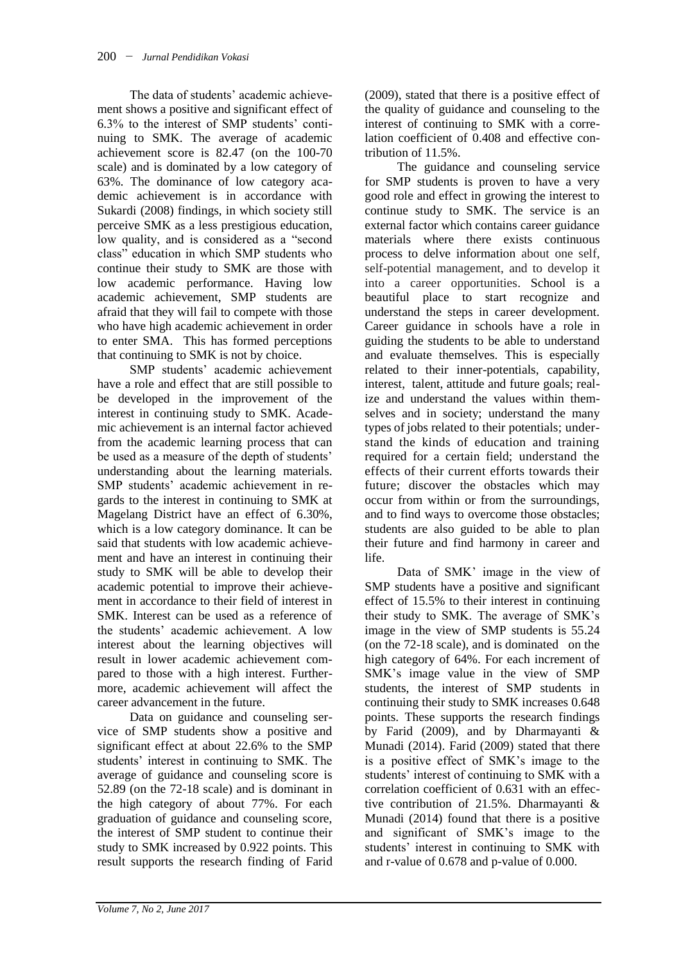The data of students' academic achievement shows a positive and significant effect of 6.3% to the interest of SMP students' continuing to SMK. The average of academic achievement score is 82.47 (on the 100-70 scale) and is dominated by a low category of 63%. The dominance of low category academic achievement is in accordance with Sukardi (2008) findings, in which society still perceive SMK as a less prestigious education, low quality, and is considered as a "second class" education in which SMP students who continue their study to SMK are those with low academic performance. Having low academic achievement, SMP students are afraid that they will fail to compete with those who have high academic achievement in order to enter SMA. This has formed perceptions that continuing to SMK is not by choice.

SMP students' academic achievement have a role and effect that are still possible to be developed in the improvement of the interest in continuing study to SMK. Academic achievement is an internal factor achieved from the academic learning process that can be used as a measure of the depth of students' understanding about the learning materials. SMP students' academic achievement in regards to the interest in continuing to SMK at Magelang District have an effect of 6.30%, which is a low category dominance. It can be said that students with low academic achievement and have an interest in continuing their study to SMK will be able to develop their academic potential to improve their achievement in accordance to their field of interest in SMK. Interest can be used as a reference of the students' academic achievement. A low interest about the learning objectives will result in lower academic achievement compared to those with a high interest. Furthermore, academic achievement will affect the career advancement in the future.

Data on guidance and counseling service of SMP students show a positive and significant effect at about 22.6% to the SMP students' interest in continuing to SMK. The average of guidance and counseling score is 52.89 (on the 72-18 scale) and is dominant in the high category of about 77%. For each graduation of guidance and counseling score, the interest of SMP student to continue their study to SMK increased by 0.922 points. This result supports the research finding of Farid (2009), stated that there is a positive effect of the quality of guidance and counseling to the interest of continuing to SMK with a correlation coefficient of 0.408 and effective contribution of 11.5%.

The guidance and counseling service for SMP students is proven to have a very good role and effect in growing the interest to continue study to SMK. The service is an external factor which contains career guidance materials where there exists continuous process to delve information about one self, self-potential management, and to develop it into a career opportunities. School is a beautiful place to start recognize and understand the steps in career development. Career guidance in schools have a role in guiding the students to be able to understand and evaluate themselves. This is especially related to their inner-potentials, capability, interest, talent, attitude and future goals; realize and understand the values within themselves and in society; understand the many types of jobs related to their potentials; understand the kinds of education and training required for a certain field; understand the effects of their current efforts towards their future; discover the obstacles which may occur from within or from the surroundings, and to find ways to overcome those obstacles; students are also guided to be able to plan their future and find harmony in career and life.

Data of SMK' image in the view of SMP students have a positive and significant effect of 15.5% to their interest in continuing their study to SMK. The average of SMK's image in the view of SMP students is 55.24 (on the 72-18 scale), and is dominated on the high category of 64%. For each increment of SMK's image value in the view of SMP students, the interest of SMP students in continuing their study to SMK increases 0.648 points. These supports the research findings by Farid (2009), and by Dharmayanti & Munadi (2014). Farid (2009) stated that there is a positive effect of SMK's image to the students' interest of continuing to SMK with a correlation coefficient of 0.631 with an effective contribution of 21.5%. Dharmayanti & Munadi (2014) found that there is a positive and significant of SMK's image to the students' interest in continuing to SMK with and r-value of 0.678 and p-value of 0.000.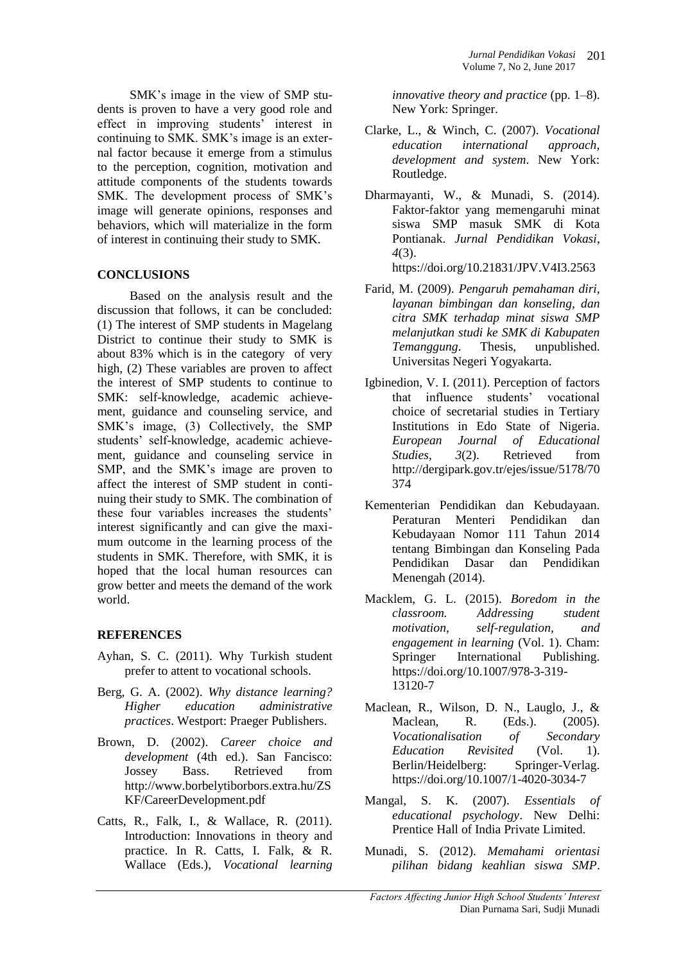SMK's image in the view of SMP students is proven to have a very good role and effect in improving students' interest in continuing to SMK. SMK's image is an external factor because it emerge from a stimulus to the perception, cognition, motivation and attitude components of the students towards SMK. The development process of SMK's image will generate opinions, responses and behaviors, which will materialize in the form of interest in continuing their study to SMK.

## **CONCLUSIONS**

Based on the analysis result and the discussion that follows, it can be concluded: (1) The interest of SMP students in Magelang District to continue their study to SMK is about 83% which is in the category of very high, (2) These variables are proven to affect the interest of SMP students to continue to SMK: self-knowledge, academic achievement, guidance and counseling service, and SMK's image, (3) Collectively, the SMP students' self-knowledge, academic achievement, guidance and counseling service in SMP, and the SMK's image are proven to affect the interest of SMP student in continuing their study to SMK. The combination of these four variables increases the students' interest significantly and can give the maximum outcome in the learning process of the students in SMK. Therefore, with SMK, it is hoped that the local human resources can grow better and meets the demand of the work world.

## **REFERENCES**

- Ayhan, S. C. (2011). Why Turkish student prefer to attent to vocational schools.
- Berg, G. A. (2002). *Why distance learning? Higher education administrative practices*. Westport: Praeger Publishers.
- Brown, D. (2002). *Career choice and development* (4th ed.). San Fancisco: Jossey Bass. Retrieved from http://www.borbelytiborbors.extra.hu/ZS KF/CareerDevelopment.pdf
- Catts, R., Falk, I., & Wallace, R. (2011). Introduction: Innovations in theory and practice. In R. Catts, I. Falk, & R. Wallace (Eds.), *Vocational learning*

*innovative theory and practice* (pp. 1–8). New York: Springer.

- Clarke, L., & Winch, C. (2007). *Vocational education international approach, development and system*. New York: Routledge.
- Dharmayanti, W., & Munadi, S. (2014). Faktor-faktor yang memengaruhi minat siswa SMP masuk SMK di Kota Pontianak. *Jurnal Pendidikan Vokasi*, *4*(3).

https://doi.org/10.21831/JPV.V4I3.2563

- Farid, M. (2009). *Pengaruh pemahaman diri, layanan bimbingan dan konseling, dan citra SMK terhadap minat siswa SMP melanjutkan studi ke SMK di Kabupaten Temanggung*. Thesis, unpublished. Universitas Negeri Yogyakarta.
- Igbinedion, V. I. (2011). Perception of factors that influence students' vocational choice of secretarial studies in Tertiary Institutions in Edo State of Nigeria. *European Journal of Educational Studies*, *3*(2). Retrieved from http://dergipark.gov.tr/ejes/issue/5178/70 374
- Kementerian Pendidikan dan Kebudayaan. Peraturan Menteri Pendidikan dan Kebudayaan Nomor 111 Tahun 2014 tentang Bimbingan dan Konseling Pada Pendidikan Dasar dan Pendidikan Menengah (2014).
- Macklem, G. L. (2015). *Boredom in the classroom. Addressing student motivation, self-regulation, and engagement in learning* (Vol. 1). Cham: Springer International Publishing. https://doi.org/10.1007/978-3-319- 13120-7
- Maclean, R., Wilson, D. N., Lauglo, J., & Maclean, R. (Eds.). (2005). *Vocationalisation of Secondary Education Revisited* (Vol. 1). Berlin/Heidelberg: Springer-Verlag. https://doi.org/10.1007/1-4020-3034-7
- Mangal, S. K. (2007). *Essentials of educational psychology*. New Delhi: Prentice Hall of India Private Limited.
- Munadi, S. (2012). *Memahami orientasi pilihan bidang keahlian siswa SMP*.